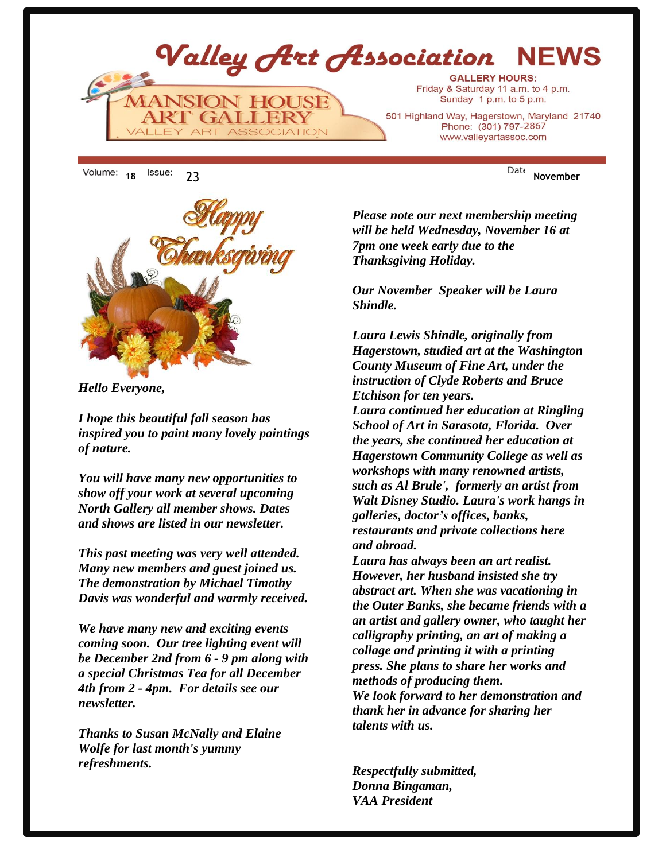

18 <sup>ISSUE:</sup> 23 **November** 



*Hello Everyone,*

*I hope this beautiful fall season has inspired you to paint many lovely paintings of nature.*

*You will have many new opportunities to show off your work at several upcoming North Gallery all member shows. Dates and shows are listed in our newsletter.*

*This past meeting was very well attended. Many new members and guest joined us. The demonstration by Michael Timothy Davis was wonderful and warmly received.*

*We have many new and exciting events coming soon. Our tree lighting event will be December 2nd from 6 - 9 pm along with a special Christmas Tea for all December 4th from 2 - 4pm. For details see our newsletter.* 

*Thanks to Susan McNally and Elaine Wolfe for last month's yummy refreshments.*

www.valleyartassoc.com

*Please note our next membership meeting will be held Wednesday, November 16 at 7pm one week early due to the Thanksgiving Holiday.* 

*Our November Speaker will be Laura Shindle.* 

*Laura Lewis Shindle, originally from Hagerstown, studied art at the Washington County Museum of Fine Art, under the instruction of Clyde Roberts and Bruce Etchison for ten years.*

*Laura continued her education at Ringling School of Art in Sarasota, Florida. Over the years, she continued her education at Hagerstown Community College as well as workshops with many renowned artists, such as Al Brule', formerly an artist from Walt Disney Studio. Laura's work hangs in galleries, doctor's offices, banks, restaurants and private collections here and abroad.*

*Laura has always been an art realist. However, her husband insisted she try abstract art. When she was vacationing in the Outer Banks, she became friends with a an artist and gallery owner, who taught her calligraphy printing, an art of making a collage and printing it with a printing press. She plans to share her works and methods of producing them. We look forward to her demonstration and thank her in advance for sharing her talents with us.*

*Respectfully submitted, Donna Bingaman, VAA President*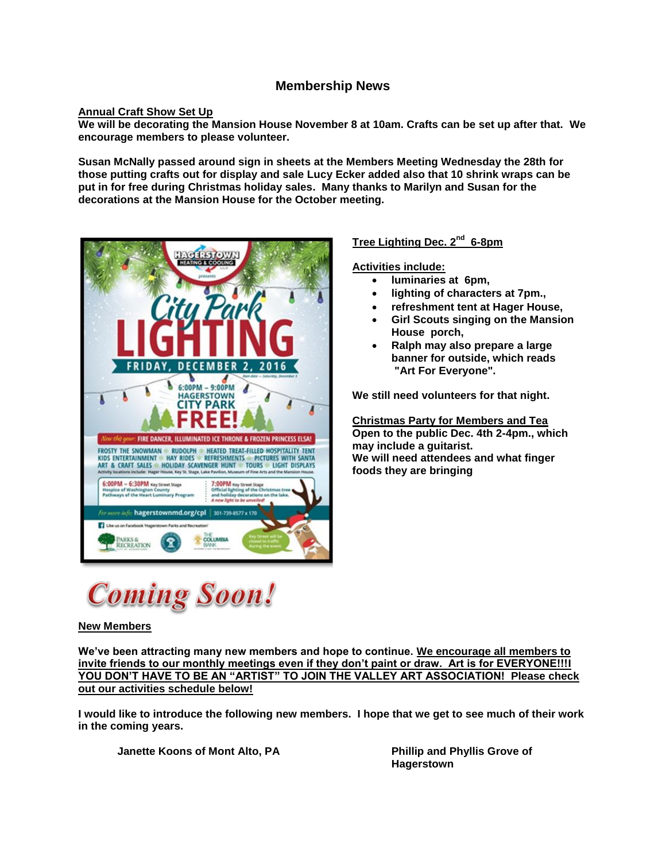## **Membership News**

## **Annual Craft Show Set Up**

**We will be decorating the Mansion House November 8 at 10am. Crafts can be set up after that. We encourage members to please volunteer.**

**Susan McNally passed around sign in sheets at the Members Meeting Wednesday the 28th for those putting crafts out for display and sale Lucy Ecker added also that 10 shrink wraps can be put in for free during Christmas holiday sales. Many thanks to Marilyn and Susan for the decorations at the Mansion House for the October meeting.**



## **Tree Lighting Dec. 2nd 6-8pm**

## **Activities include:**

- **luminaries at 6pm,**
- **lighting of characters at 7pm.,**
- **refreshment tent at Hager House,**
- **Girl Scouts singing on the Mansion House porch,**
- **Ralph may also prepare a large banner for outside, which reads "Art For Everyone".**

**We still need volunteers for that night.**

**Christmas Party for Members and Tea Open to the public Dec. 4th 2-4pm., which may include a guitarist. We will need attendees and what finger foods they are bringing**



#### **New Members**

**We've been attracting many new members and hope to continue. We encourage all members to invite friends to our monthly meetings even if they don't paint or draw. Art is for EVERYONE!!!I YOU DON'T HAVE TO BE AN "ARTIST" TO JOIN THE VALLEY ART ASSOCIATION! Please check out our activities schedule below!**

**I would like to introduce the following new members. I hope that we get to see much of their work in the coming years.** 

**Janette Koons of Mont Alto, PA Phillip and Phyllis Grove of** 

**Hagerstown**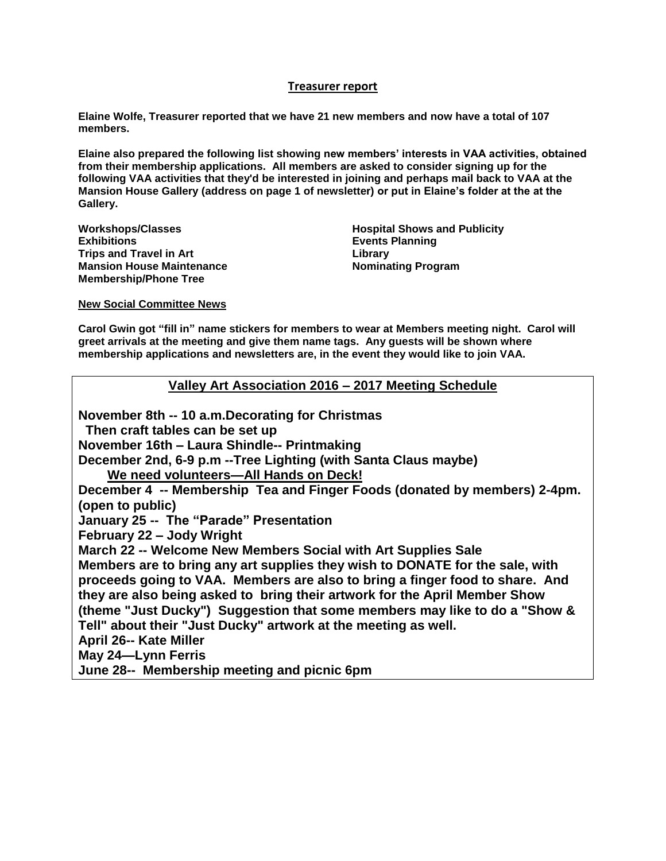## **Treasurer report**

**Elaine Wolfe, Treasurer reported that we have 21 new members and now have a total of 107 members.** 

**Elaine also prepared the following list showing new members' interests in VAA activities, obtained from their membership applications. All members are asked to consider signing up for the following VAA activities that they'd be interested in joining and perhaps mail back to VAA at the Mansion House Gallery (address on page 1 of newsletter) or put in Elaine's folder at the at the Gallery.**

**Workshops/Classes Exhibitions Trips and Travel in Art Mansion House Maintenance Membership/Phone Tree**

**Hospital Shows and Publicity Events Planning Library Nominating Program**

**New Social Committee News**

**Carol Gwin got "fill in" name stickers for members to wear at Members meeting night. Carol will greet arrivals at the meeting and give them name tags. Any guests will be shown where membership applications and newsletters are, in the event they would like to join VAA.** 

**Valley Art Association 2016 – 2017 Meeting Schedule**

**November 8th -- 10 a.m.Decorating for Christmas Then craft tables can be set up November 16th – Laura Shindle-- Printmaking December 2nd, 6-9 p.m --Tree Lighting (with Santa Claus maybe) We need volunteers—All Hands on Deck! December 4 -- Membership Tea and Finger Foods (donated by members) 2-4pm. (open to public) January 25 -- The "Parade" Presentation February 22 – Jody Wright March 22 -- Welcome New Members Social with Art Supplies Sale Members are to bring any art supplies they wish to DONATE for the sale, with proceeds going to VAA. Members are also to bring a finger food to share. And they are also being asked to bring their artwork for the April Member Show (theme "Just Ducky") Suggestion that some members may like to do a "Show & Tell" about their "Just Ducky" artwork at the meeting as well. April 26-- Kate Miller May 24—Lynn Ferris June 28-- Membership meeting and picnic 6pm**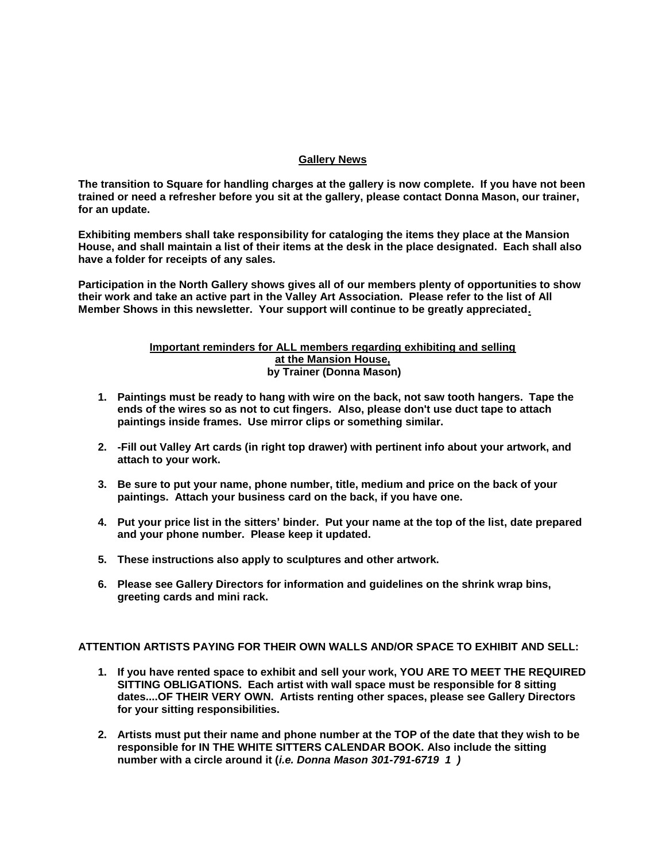#### **Gallery News**

**The transition to Square for handling charges at the gallery is now complete. If you have not been trained or need a refresher before you sit at the gallery, please contact Donna Mason, our trainer, for an update.**

**Exhibiting members shall take responsibility for cataloging the items they place at the Mansion House, and shall maintain a list of their items at the desk in the place designated. Each shall also have a folder for receipts of any sales.** 

**Participation in the North Gallery shows gives all of our members plenty of opportunities to show their work and take an active part in the Valley Art Association. Please refer to the list of All Member Shows in this newsletter. Your support will continue to be greatly appreciated.**

#### **Important reminders for ALL members regarding exhibiting and selling at the Mansion House, by Trainer (Donna Mason)**

- **1. Paintings must be ready to hang with wire on the back, not saw tooth hangers. Tape the ends of the wires so as not to cut fingers. Also, please don't use duct tape to attach paintings inside frames. Use mirror clips or something similar.**
- **2. -Fill out Valley Art cards (in right top drawer) with pertinent info about your artwork, and attach to your work.**
- **3. Be sure to put your name, phone number, title, medium and price on the back of your paintings. Attach your business card on the back, if you have one.**
- **4. Put your price list in the sitters' binder. Put your name at the top of the list, date prepared and your phone number. Please keep it updated.**
- **5. These instructions also apply to sculptures and other artwork.**
- **6. Please see Gallery Directors for information and guidelines on the shrink wrap bins, greeting cards and mini rack.**

**ATTENTION ARTISTS PAYING FOR THEIR OWN WALLS AND/OR SPACE TO EXHIBIT AND SELL:**

- **1. If you have rented space to exhibit and sell your work, YOU ARE TO MEET THE REQUIRED SITTING OBLIGATIONS. Each artist with wall space must be responsible for 8 sitting dates....OF THEIR VERY OWN. Artists renting other spaces, please see Gallery Directors for your sitting responsibilities.**
- **2. Artists must put their name and phone number at the TOP of the date that they wish to be responsible for IN THE WHITE SITTERS CALENDAR BOOK. Also include the sitting number with a circle around it (***i.e. Donna Mason 301-791-6719 1 )*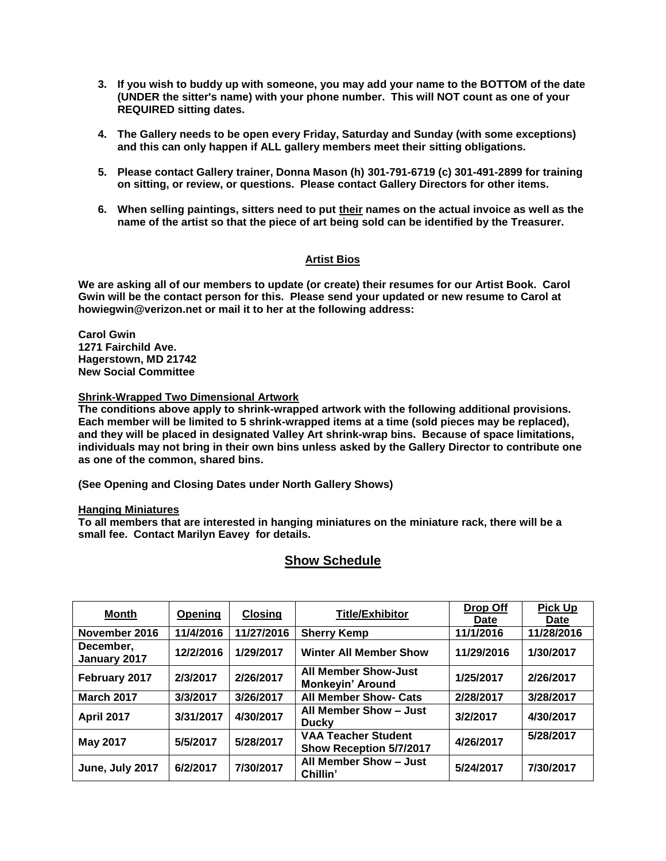- **3. If you wish to buddy up with someone, you may add your name to the BOTTOM of the date (UNDER the sitter's name) with your phone number. This will NOT count as one of your REQUIRED sitting dates.**
- **4. The Gallery needs to be open every Friday, Saturday and Sunday (with some exceptions) and this can only happen if ALL gallery members meet their sitting obligations.**
- **5. Please contact Gallery trainer, Donna Mason (h) 301-791-6719 (c) 301-491-2899 for training on sitting, or review, or questions. Please contact Gallery Directors for other items.**
- **6. When selling paintings, sitters need to put their names on the actual invoice as well as the name of the artist so that the piece of art being sold can be identified by the Treasurer.**

## **Artist Bios**

**We are asking all of our members to update (or create) their resumes for our Artist Book. Carol Gwin will be the contact person for this. Please send your updated or new resume to Carol at howiegwin@verizon.net or mail it to her at the following address:**

**Carol Gwin 1271 Fairchild Ave. Hagerstown, MD 21742 New Social Committee**

#### **Shrink-Wrapped Two Dimensional Artwork**

**The conditions above apply to shrink-wrapped artwork with the following additional provisions. Each member will be limited to 5 shrink-wrapped items at a time (sold pieces may be replaced), and they will be placed in designated Valley Art shrink-wrap bins. Because of space limitations, individuals may not bring in their own bins unless asked by the Gallery Director to contribute one as one of the common, shared bins.**

**(See Opening and Closing Dates under North Gallery Shows)**

#### **Hanging Miniatures**

**To all members that are interested in hanging miniatures on the miniature rack, there will be a small fee. Contact Marilyn Eavey for details.**

| <b>Month</b>              | Opening   | <b>Closing</b> | <b>Title/Exhibitor</b>                                | Drop Off<br>Date | <b>Pick Up</b><br>Date |
|---------------------------|-----------|----------------|-------------------------------------------------------|------------------|------------------------|
| November 2016             | 11/4/2016 | 11/27/2016     | <b>Sherry Kemp</b>                                    | 11/1/2016        | 11/28/2016             |
| December,<br>January 2017 | 12/2/2016 | 1/29/2017      | <b>Winter All Member Show</b>                         | 11/29/2016       | 1/30/2017              |
| February 2017             | 2/3/2017  | 2/26/2017      | <b>All Member Show-Just</b><br>Monkeyin' Around       | 1/25/2017        | 2/26/2017              |
| <b>March 2017</b>         | 3/3/2017  | 3/26/2017      | <b>All Member Show- Cats</b>                          | 2/28/2017        | 3/28/2017              |
| <b>April 2017</b>         | 3/31/2017 | 4/30/2017      | All Member Show - Just<br><b>Ducky</b>                | 3/2/2017         | 4/30/2017              |
| <b>May 2017</b>           | 5/5/2017  | 5/28/2017      | <b>VAA Teacher Student</b><br>Show Reception 5/7/2017 | 4/26/2017        | 5/28/2017              |
| June, July 2017           | 6/2/2017  | 7/30/2017      | All Member Show - Just<br>Chillin'                    | 5/24/2017        | 7/30/2017              |

## **Show Schedule**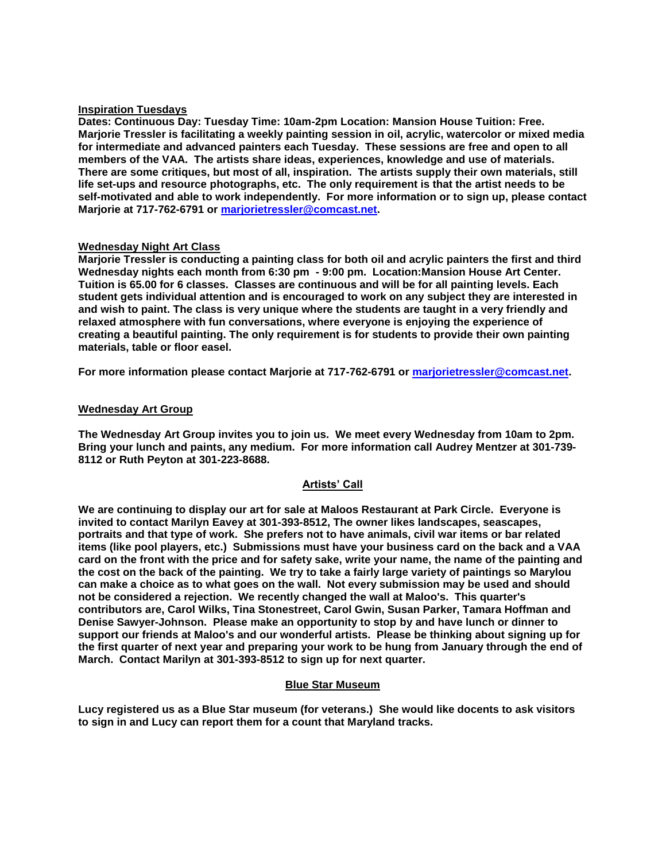### **Inspiration Tuesdays**

**Dates: Continuous Day: Tuesday Time: 10am-2pm Location: Mansion House Tuition: Free. Marjorie Tressler is facilitating a weekly painting session in oil, acrylic, watercolor or mixed media for intermediate and advanced painters each Tuesday. These sessions are free and open to all members of the VAA. The artists share ideas, experiences, knowledge and use of materials. There are some critiques, but most of all, inspiration. The artists supply their own materials, still life set-ups and resource photographs, etc. The only requirement is that the artist needs to be self-motivated and able to work independently. For more information or to sign up, please contact Marjorie at 717-762-6791 or [marjorietressler@comcast.net.](mailto:marjorietressler@comcast.net)**

#### **Wednesday Night Art Class**

**Marjorie Tressler is conducting a painting class for both oil and acrylic painters the first and third Wednesday nights each month from 6:30 pm - 9:00 pm. Location:Mansion House Art Center. Tuition is 65.00 for 6 classes. Classes are continuous and will be for all painting levels. Each student gets individual attention and is encouraged to work on any subject they are interested in and wish to paint. The class is very unique where the students are taught in a very friendly and relaxed atmosphere with fun conversations, where everyone is enjoying the experience of creating a beautiful painting. The only requirement is for students to provide their own painting materials, table or floor easel.**

**For more information please contact Marjorie at 717-762-6791 or [marjorietressler@comcast.net.](mailto:marjorietressler@comcast.net)**

#### **Wednesday Art Group**

**The Wednesday Art Group invites you to join us. We meet every Wednesday from 10am to 2pm. Bring your lunch and paints, any medium. For more information call Audrey Mentzer at 301-739- 8112 or Ruth Peyton at 301-223-8688.**

#### **Artists' Call**

**We are continuing to display our art for sale at Maloos Restaurant at Park Circle. Everyone is invited to contact Marilyn Eavey at 301-393-8512, The owner likes landscapes, seascapes, portraits and that type of work. She prefers not to have animals, civil war items or bar related items (like pool players, etc.) Submissions must have your business card on the back and a VAA card on the front with the price and for safety sake, write your name, the name of the painting and the cost on the back of the painting. We try to take a fairly large variety of paintings so Marylou can make a choice as to what goes on the wall. Not every submission may be used and should not be considered a rejection. We recently changed the wall at Maloo's. This quarter's contributors are, Carol Wilks, Tina Stonestreet, Carol Gwin, Susan Parker, Tamara Hoffman and Denise Sawyer-Johnson. Please make an opportunity to stop by and have lunch or dinner to support our friends at Maloo's and our wonderful artists. Please be thinking about signing up for the first quarter of next year and preparing your work to be hung from January through the end of March. Contact Marilyn at 301-393-8512 to sign up for next quarter.**

#### **Blue Star Museum**

**Lucy registered us as a Blue Star museum (for veterans.) She would like docents to ask visitors to sign in and Lucy can report them for a count that Maryland tracks.**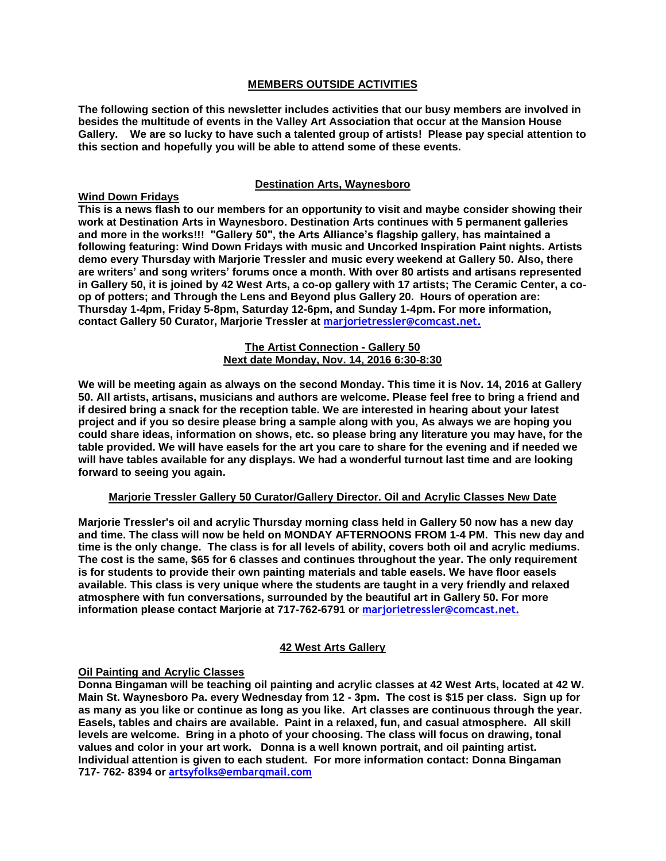### **MEMBERS OUTSIDE ACTIVITIES**

**The following section of this newsletter includes activities that our busy members are involved in besides the multitude of events in the Valley Art Association that occur at the Mansion House Gallery. We are so lucky to have such a talented group of artists! Please pay special attention to this section and hopefully you will be able to attend some of these events.**

## **Destination Arts, Waynesboro**

## **Wind Down Fridays**

**This is a news flash to our members for an opportunity to visit and maybe consider showing their work at Destination Arts in Waynesboro. Destination Arts continues with 5 permanent galleries and more in the works!!! "Gallery 50", the Arts Alliance's flagship gallery, has maintained a following featuring: Wind Down Fridays with music and Uncorked Inspiration Paint nights. Artists demo every Thursday with Marjorie Tressler and music every weekend at Gallery 50. Also, there are writers' and song writers' forums once a month. With over 80 artists and artisans represented in Gallery 50, it is joined by 42 West Arts, a co-op gallery with 17 artists; The Ceramic Center, a coop of potters; and Through the Lens and Beyond plus Gallery 20. Hours of operation are: Thursday 1-4pm, Friday 5-8pm, Saturday 12-6pm, and Sunday 1-4pm. For more information, contact Gallery 50 Curator, Marjorie Tressler at [marjorietressler@comcast.net.](mailto:marjorietressler@comcast.net)**

#### **The Artist Connection - Gallery 50 Next date Monday, Nov. 14, 2016 6:30-8:30**

**We will be meeting again as always on the second Monday. This time it is Nov. 14, 2016 at Gallery 50. All artists, artisans, musicians and authors are welcome. Please feel free to bring a friend and if desired bring a snack for the reception table. We are interested in hearing about your latest project and if you so desire please bring a sample along with you, As always we are hoping you could share ideas, information on shows, etc. so please bring any literature you may have, for the table provided. We will have easels for the art you care to share for the evening and if needed we will have tables available for any displays. We had a wonderful turnout last time and are looking forward to seeing you again.**

#### **Marjorie Tressler Gallery 50 Curator/Gallery Director. Oil and Acrylic Classes New Date**

**Marjorie Tressler's oil and acrylic Thursday morning class held in Gallery 50 now has a new day and time. The class will now be held on MONDAY AFTERNOONS FROM 1-4 PM. This new day and time is the only change. The class is for all levels of ability, covers both oil and acrylic mediums. The cost is the same, \$65 for 6 classes and continues throughout the year. The only requirement is for students to provide their own painting materials and table easels. We have floor easels available. This class is very unique where the students are taught in a very friendly and relaxed atmosphere with fun conversations, surrounded by the beautiful art in Gallery 50. For more information please contact Marjorie at 717-762-6791 or marjorietressler@comcast.net.** 

## **42 West Arts Gallery**

## **Oil Painting and Acrylic Classes**

**Donna Bingaman will be teaching oil painting and acrylic classes at 42 West Arts, located at 42 W. Main St. Waynesboro Pa. every Wednesday from 12 - 3pm. The cost is \$15 per class. Sign up for as many as you like or continue as long as you like. Art classes are continuous through the year. Easels, tables and chairs are available. Paint in a relaxed, fun, and casual atmosphere. All skill levels are welcome. Bring in a photo of your choosing. The class will focus on drawing, tonal values and color in your art work. Donna is a well known portrait, and oil painting artist. Individual attention is given to each student. For more information contact: Donna Bingaman 717- 762- 8394 or artsyfolks@embarqmail.com**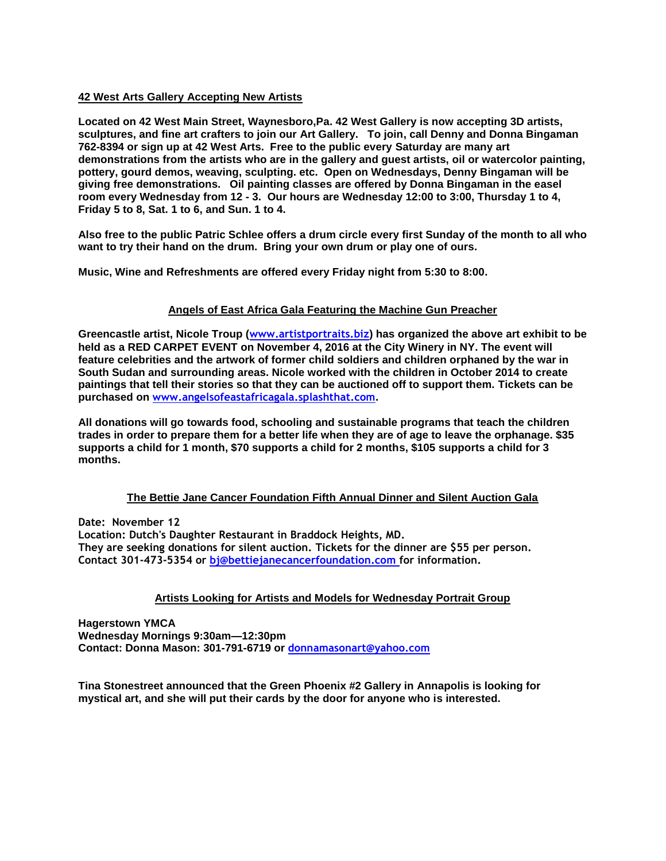#### **42 West Arts Gallery Accepting New Artists**

**Located on 42 West Main Street, Waynesboro,Pa. 42 West Gallery is now accepting 3D artists, sculptures, and fine art crafters to join our Art Gallery. To join, call Denny and Donna Bingaman 762-8394 or sign up at 42 West Arts. Free to the public every Saturday are many art demonstrations from the artists who are in the gallery and guest artists, oil or watercolor painting, pottery, gourd demos, weaving, sculpting. etc. Open on Wednesdays, Denny Bingaman will be giving free demonstrations. Oil painting classes are offered by Donna Bingaman in the easel room every Wednesday from 12 - 3. Our hours are Wednesday 12:00 to 3:00, Thursday 1 to 4, Friday 5 to 8, Sat. 1 to 6, and Sun. 1 to 4.**

**Also free to the public Patric Schlee offers a drum circle every first Sunday of the month to all who want to try their hand on the drum. Bring your own drum or play one of ours.**

**Music, Wine and Refreshments are offered every Friday night from 5:30 to 8:00.**

## **Angels of East Africa Gala Featuring the Machine Gun Preacher**

**Greencastle artist, Nicole Troup (www.artistportraits.biz) has organized the above art exhibit to be held as a RED CARPET EVENT on November 4, 2016 at the City Winery in NY. The event will feature celebrities and the artwork of former child soldiers and children orphaned by the war in South Sudan and surrounding areas. Nicole worked with the children in October 2014 to create paintings that tell their stories so that they can be auctioned off to support them. Tickets can be purchased on www.angelsofeastafricagala.splashthat.com.** 

**All donations will go towards food, schooling and sustainable programs that teach the children trades in order to prepare them for a better life when they are of age to leave the orphanage. \$35 supports a child for 1 month, \$70 supports a child for 2 months, \$105 supports a child for 3 months.**

#### **The Bettie Jane Cancer Foundation Fifth Annual Dinner and Silent Auction Gala**

**Date: November 12 Location: Dutch's Daughter Restaurant in Braddock Heights, MD. They are seeking donations for silent auction. Tickets for the dinner are \$55 per person. Contact 301-473-5354 or bj@bettiejanecancerfoundation.com for information.**

## **Artists Looking for Artists and Models for Wednesday Portrait Group**

**Hagerstown YMCA Wednesday Mornings 9:30am—12:30pm Contact: Donna Mason: 301-791-6719 or [donnamasonart@yahoo.com](mailto:donnamasonart@yahoo.com)**

**Tina Stonestreet announced that the Green Phoenix #2 Gallery in Annapolis is looking for mystical art, and she will put their cards by the door for anyone who is interested.**